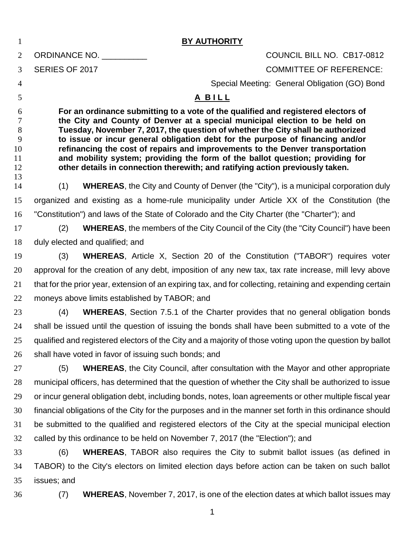| $\mathbf{1}$   |                                                                                                                                                                                                                                                 | <b>BY AUTHORITY</b>                                                                                        |  |  |  |  |  |  |  |  |
|----------------|-------------------------------------------------------------------------------------------------------------------------------------------------------------------------------------------------------------------------------------------------|------------------------------------------------------------------------------------------------------------|--|--|--|--|--|--|--|--|
| $\overline{2}$ |                                                                                                                                                                                                                                                 | ORDINANCE NO.<br>COUNCIL BILL NO. CB17-0812                                                                |  |  |  |  |  |  |  |  |
| 3              | SERIES OF 2017                                                                                                                                                                                                                                  | <b>COMMITTEE OF REFERENCE:</b>                                                                             |  |  |  |  |  |  |  |  |
| $\overline{4}$ |                                                                                                                                                                                                                                                 | Special Meeting: General Obligation (GO) Bond                                                              |  |  |  |  |  |  |  |  |
| 5              |                                                                                                                                                                                                                                                 | A BILL                                                                                                     |  |  |  |  |  |  |  |  |
| 6              | For an ordinance submitting to a vote of the qualified and registered electors of                                                                                                                                                               |                                                                                                            |  |  |  |  |  |  |  |  |
| 7<br>8         | the City and County of Denver at a special municipal election to be held on<br>Tuesday, November 7, 2017, the question of whether the City shall be authorized                                                                                  |                                                                                                            |  |  |  |  |  |  |  |  |
| 9              | to issue or incur general obligation debt for the purpose of financing and/or<br>refinancing the cost of repairs and improvements to the Denver transportation<br>and mobility system; providing the form of the ballot question; providing for |                                                                                                            |  |  |  |  |  |  |  |  |
| 10<br>11       |                                                                                                                                                                                                                                                 |                                                                                                            |  |  |  |  |  |  |  |  |
| 12             |                                                                                                                                                                                                                                                 | other details in connection therewith; and ratifying action previously taken.                              |  |  |  |  |  |  |  |  |
| 13<br>14       | (1)                                                                                                                                                                                                                                             | <b>WHEREAS, the City and County of Denver (the "City"), is a municipal corporation duly</b>                |  |  |  |  |  |  |  |  |
| 15             |                                                                                                                                                                                                                                                 | organized and existing as a home-rule municipality under Article XX of the Constitution (the               |  |  |  |  |  |  |  |  |
| 16             |                                                                                                                                                                                                                                                 | "Constitution") and laws of the State of Colorado and the City Charter (the "Charter"); and                |  |  |  |  |  |  |  |  |
| 17             | (2)                                                                                                                                                                                                                                             | <b>WHEREAS, the members of the City Council of the City (the "City Council") have been</b>                 |  |  |  |  |  |  |  |  |
| 18             |                                                                                                                                                                                                                                                 | duly elected and qualified; and                                                                            |  |  |  |  |  |  |  |  |
| 19             | (3)                                                                                                                                                                                                                                             | <b>WHEREAS,</b> Article X, Section 20 of the Constitution ("TABOR") requires voter                         |  |  |  |  |  |  |  |  |
| 20             | approval for the creation of any debt, imposition of any new tax, tax rate increase, mill levy above                                                                                                                                            |                                                                                                            |  |  |  |  |  |  |  |  |
| 21             |                                                                                                                                                                                                                                                 | that for the prior year, extension of an expiring tax, and for collecting, retaining and expending certain |  |  |  |  |  |  |  |  |
| 22             |                                                                                                                                                                                                                                                 | moneys above limits established by TABOR; and                                                              |  |  |  |  |  |  |  |  |
| 23             | (4)                                                                                                                                                                                                                                             | <b>WHEREAS, Section 7.5.1 of the Charter provides that no general obligation bonds</b>                     |  |  |  |  |  |  |  |  |
| 24             | shall be issued until the question of issuing the bonds shall have been submitted to a vote of the                                                                                                                                              |                                                                                                            |  |  |  |  |  |  |  |  |
| 25             | qualified and registered electors of the City and a majority of those voting upon the question by ballot                                                                                                                                        |                                                                                                            |  |  |  |  |  |  |  |  |
| 26             |                                                                                                                                                                                                                                                 | shall have voted in favor of issuing such bonds; and                                                       |  |  |  |  |  |  |  |  |
| 27             | (5)                                                                                                                                                                                                                                             | <b>WHEREAS, the City Council, after consultation with the Mayor and other appropriate</b>                  |  |  |  |  |  |  |  |  |
| 28             |                                                                                                                                                                                                                                                 | municipal officers, has determined that the question of whether the City shall be authorized to issue      |  |  |  |  |  |  |  |  |
| 29             |                                                                                                                                                                                                                                                 | or incur general obligation debt, including bonds, notes, loan agreements or other multiple fiscal year    |  |  |  |  |  |  |  |  |
| 30             |                                                                                                                                                                                                                                                 | financial obligations of the City for the purposes and in the manner set forth in this ordinance should    |  |  |  |  |  |  |  |  |
| 31             |                                                                                                                                                                                                                                                 | be submitted to the qualified and registered electors of the City at the special municipal election        |  |  |  |  |  |  |  |  |
| 32             |                                                                                                                                                                                                                                                 | called by this ordinance to be held on November 7, 2017 (the "Election"); and                              |  |  |  |  |  |  |  |  |
| 33             | (6)                                                                                                                                                                                                                                             | <b>WHEREAS, TABOR also requires the City to submit ballot issues (as defined in</b>                        |  |  |  |  |  |  |  |  |
| 34             |                                                                                                                                                                                                                                                 | TABOR) to the City's electors on limited election days before action can be taken on such ballot           |  |  |  |  |  |  |  |  |
| 35             | issues; and                                                                                                                                                                                                                                     |                                                                                                            |  |  |  |  |  |  |  |  |
| 36             | (7)                                                                                                                                                                                                                                             | <b>WHEREAS, November 7, 2017, is one of the election dates at which ballot issues may</b>                  |  |  |  |  |  |  |  |  |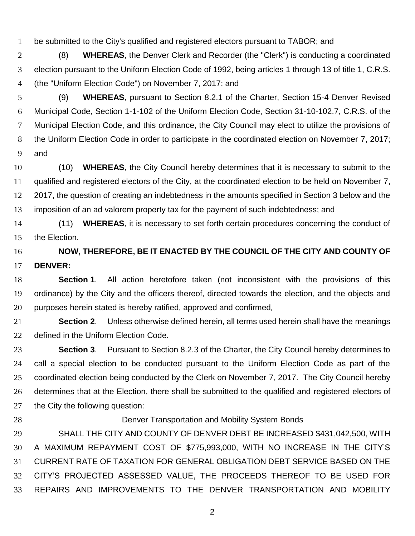be submitted to the City's qualified and registered electors pursuant to TABOR; and

 (8) **WHEREAS**, the Denver Clerk and Recorder (the "Clerk") is conducting a coordinated election pursuant to the Uniform Election Code of 1992, being articles 1 through 13 of title 1, C.R.S. (the "Uniform Election Code") on November 7, 2017; and

 (9) **WHEREAS**, pursuant to Section 8.2.1 of the Charter, Section 15-4 Denver Revised Municipal Code, Section 1-1-102 of the Uniform Election Code, Section 31-10-102.7, C.R.S. of the Municipal Election Code, and this ordinance, the City Council may elect to utilize the provisions of the Uniform Election Code in order to participate in the coordinated election on November 7, 2017; and

 (10) **WHEREAS**, the City Council hereby determines that it is necessary to submit to the qualified and registered electors of the City, at the coordinated election to be held on November 7, 2017, the question of creating an indebtedness in the amounts specified in Section 3 below and the imposition of an ad valorem property tax for the payment of such indebtedness; and

 (11) **WHEREAS**, it is necessary to set forth certain procedures concerning the conduct of the Election.

 **NOW, THEREFORE, BE IT ENACTED BY THE COUNCIL OF THE CITY AND COUNTY OF DENVER:**

 **Section 1**. All action heretofore taken (not inconsistent with the provisions of this ordinance) by the City and the officers thereof, directed towards the election, and the objects and purposes herein stated is hereby ratified, approved and confirmed

 **Section 2**. Unless otherwise defined herein, all terms used herein shall have the meanings defined in the Uniform Election Code.

 **Section 3**. Pursuant to Section 8.2.3 of the Charter, the City Council hereby determines to call a special election to be conducted pursuant to the Uniform Election Code as part of the coordinated election being conducted by the Clerk on November 7, 2017. The City Council hereby determines that at the Election, there shall be submitted to the qualified and registered electors of 27 the City the following question:

## Denver Transportation and Mobility System Bonds

 SHALL THE CITY AND COUNTY OF DENVER DEBT BE INCREASED \$431,042,500, WITH A MAXIMUM REPAYMENT COST OF \$775,993,000, WITH NO INCREASE IN THE CITY'S CURRENT RATE OF TAXATION FOR GENERAL OBLIGATION DEBT SERVICE BASED ON THE CITY'S PROJECTED ASSESSED VALUE, THE PROCEEDS THEREOF TO BE USED FOR REPAIRS AND IMPROVEMENTS TO THE DENVER TRANSPORTATION AND MOBILITY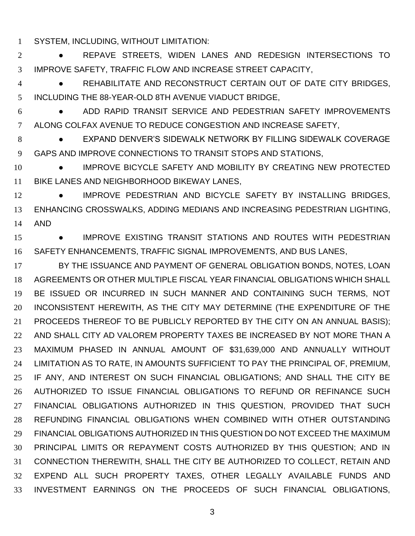SYSTEM, INCLUDING, WITHOUT LIMITATION:

 ● REPAVE STREETS, WIDEN LANES AND REDESIGN INTERSECTIONS TO IMPROVE SAFETY, TRAFFIC FLOW AND INCREASE STREET CAPACITY,

 ● REHABILITATE AND RECONSTRUCT CERTAIN OUT OF DATE CITY BRIDGES, INCLUDING THE 88-YEAR-OLD 8TH AVENUE VIADUCT BRIDGE,

 ● ADD RAPID TRANSIT SERVICE AND PEDESTRIAN SAFETY IMPROVEMENTS ALONG COLFAX AVENUE TO REDUCE CONGESTION AND INCREASE SAFETY,

**8 EXPAND DENVER'S SIDEWALK NETWORK BY FILLING SIDEWALK COVERAGE** GAPS AND IMPROVE CONNECTIONS TO TRANSIT STOPS AND STATIONS,

**• IMPROVE BICYCLE SAFETY AND MOBILITY BY CREATING NEW PROTECTED** BIKE LANES AND NEIGHBORHOOD BIKEWAY LANES,

12 • IMPROVE PEDESTRIAN AND BICYCLE SAFETY BY INSTALLING BRIDGES, ENHANCING CROSSWALKS, ADDING MEDIANS AND INCREASING PEDESTRIAN LIGHTING, AND

15 • IMPROVE EXISTING TRANSIT STATIONS AND ROUTES WITH PEDESTRIAN SAFETY ENHANCEMENTS, TRAFFIC SIGNAL IMPROVEMENTS, AND BUS LANES,

 BY THE ISSUANCE AND PAYMENT OF GENERAL OBLIGATION BONDS, NOTES, LOAN AGREEMENTS OR OTHER MULTIPLE FISCAL YEAR FINANCIAL OBLIGATIONS WHICH SHALL BE ISSUED OR INCURRED IN SUCH MANNER AND CONTAINING SUCH TERMS, NOT INCONSISTENT HEREWITH, AS THE CITY MAY DETERMINE (THE EXPENDITURE OF THE PROCEEDS THEREOF TO BE PUBLICLY REPORTED BY THE CITY ON AN ANNUAL BASIS); 22 AND SHALL CITY AD VALOREM PROPERTY TAXES BE INCREASED BY NOT MORE THAN A MAXIMUM PHASED IN ANNUAL AMOUNT OF \$31,639,000 AND ANNUALLY WITHOUT LIMITATION AS TO RATE, IN AMOUNTS SUFFICIENT TO PAY THE PRINCIPAL OF, PREMIUM, IF ANY, AND INTEREST ON SUCH FINANCIAL OBLIGATIONS; AND SHALL THE CITY BE AUTHORIZED TO ISSUE FINANCIAL OBLIGATIONS TO REFUND OR REFINANCE SUCH FINANCIAL OBLIGATIONS AUTHORIZED IN THIS QUESTION, PROVIDED THAT SUCH REFUNDING FINANCIAL OBLIGATIONS WHEN COMBINED WITH OTHER OUTSTANDING FINANCIAL OBLIGATIONS AUTHORIZED IN THIS QUESTION DO NOT EXCEED THE MAXIMUM PRINCIPAL LIMITS OR REPAYMENT COSTS AUTHORIZED BY THIS QUESTION; AND IN CONNECTION THEREWITH, SHALL THE CITY BE AUTHORIZED TO COLLECT, RETAIN AND EXPEND ALL SUCH PROPERTY TAXES, OTHER LEGALLY AVAILABLE FUNDS AND INVESTMENT EARNINGS ON THE PROCEEDS OF SUCH FINANCIAL OBLIGATIONS,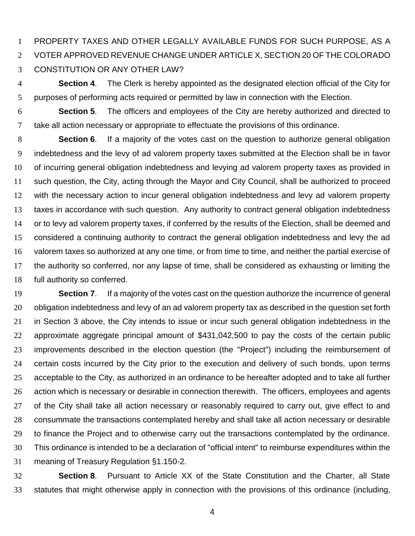PROPERTY TAXES AND OTHER LEGALLY AVAILABLE FUNDS FOR SUCH PURPOSE, AS A VOTER APPROVED REVENUE CHANGE UNDER ARTICLE X, SECTION 20 OF THE COLORADO CONSTITUTION OR ANY OTHER LAW?

 **Section 4**. The Clerk is hereby appointed as the designated election official of the City for purposes of performing acts required or permitted by law in connection with the Election.

 **Section 5**. The officers and employees of the City are hereby authorized and directed to take all action necessary or appropriate to effectuate the provisions of this ordinance.

 **Section 6**. If a majority of the votes cast on the question to authorize general obligation indebtedness and the levy of ad valorem property taxes submitted at the Election shall be in favor of incurring general obligation indebtedness and levying ad valorem property taxes as provided in such question, the City, acting through the Mayor and City Council, shall be authorized to proceed with the necessary action to incur general obligation indebtedness and levy ad valorem property taxes in accordance with such question. Any authority to contract general obligation indebtedness or to levy ad valorem property taxes, if conferred by the results of the Election, shall be deemed and considered a continuing authority to contract the general obligation indebtedness and levy the ad valorem taxes so authorized at any one time, or from time to time, and neither the partial exercise of the authority so conferred, nor any lapse of time, shall be considered as exhausting or limiting the full authority so conferred.

 **Section 7**. If a majority of the votes cast on the question authorize the incurrence of general obligation indebtedness and levy of an ad valorem property tax as described in the question set forth in Section 3 above, the City intends to issue or incur such general obligation indebtedness in the approximate aggregate principal amount of \$431,042,500 to pay the costs of the certain public improvements described in the election question (the "Project") including the reimbursement of certain costs incurred by the City prior to the execution and delivery of such bonds, upon terms acceptable to the City, as authorized in an ordinance to be hereafter adopted and to take all further action which is necessary or desirable in connection therewith. The officers, employees and agents 27 of the City shall take all action necessary or reasonably required to carry out, give effect to and consummate the transactions contemplated hereby and shall take all action necessary or desirable to finance the Project and to otherwise carry out the transactions contemplated by the ordinance. This ordinance is intended to be a declaration of "official intent" to reimburse expenditures within the meaning of Treasury Regulation §1.150-2.

 **Section 8**. Pursuant to Article XX of the State Constitution and the Charter, all State statutes that might otherwise apply in connection with the provisions of this ordinance (including,